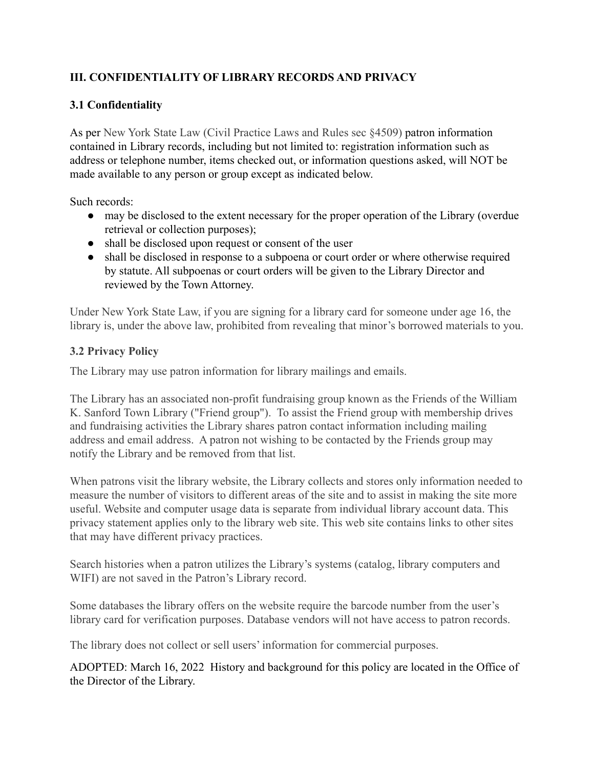## **III. CONFIDENTIALITY OF LIBRARY RECORDS AND PRIVACY**

## **3.1 Confidentiality**

As per New York State Law (Civil Practice Laws and Rules sec §4509) patron information contained in Library records, including but not limited to: registration information such as address or telephone number, items checked out, or information questions asked, will NOT be made available to any person or group except as indicated below.

Such records:

- may be disclosed to the extent necessary for the proper operation of the Library (overdue retrieval or collection purposes);
- shall be disclosed upon request or consent of the user
- shall be disclosed in response to a subpoena or court order or where otherwise required by statute. All subpoenas or court orders will be given to the Library Director and reviewed by the Town Attorney.

Under New York State Law, if you are signing for a library card for someone under age 16, the library is, under the above law, prohibited from revealing that minor's borrowed materials to you.

## **3.2 Privacy Policy**

The Library may use patron information for library mailings and emails.

The Library has an associated non-profit fundraising group known as the Friends of the William K. Sanford Town Library ("Friend group"). To assist the Friend group with membership drives and fundraising activities the Library shares patron contact information including mailing address and email address. A patron not wishing to be contacted by the Friends group may notify the Library and be removed from that list.

When patrons visit the library website, the Library collects and stores only information needed to measure the number of visitors to different areas of the site and to assist in making the site more useful. Website and computer usage data is separate from individual library account data. This privacy statement applies only to the library web site. This web site contains links to other sites that may have different privacy practices.

Search histories when a patron utilizes the Library's systems (catalog, library computers and WIFI) are not saved in the Patron's Library record.

Some databases the library offers on the website require the barcode number from the user's library card for verification purposes. Database vendors will not have access to patron records.

The library does not collect or sell users' information for commercial purposes.

ADOPTED: March 16, 2022 History and background for this policy are located in the Office of the Director of the Library.